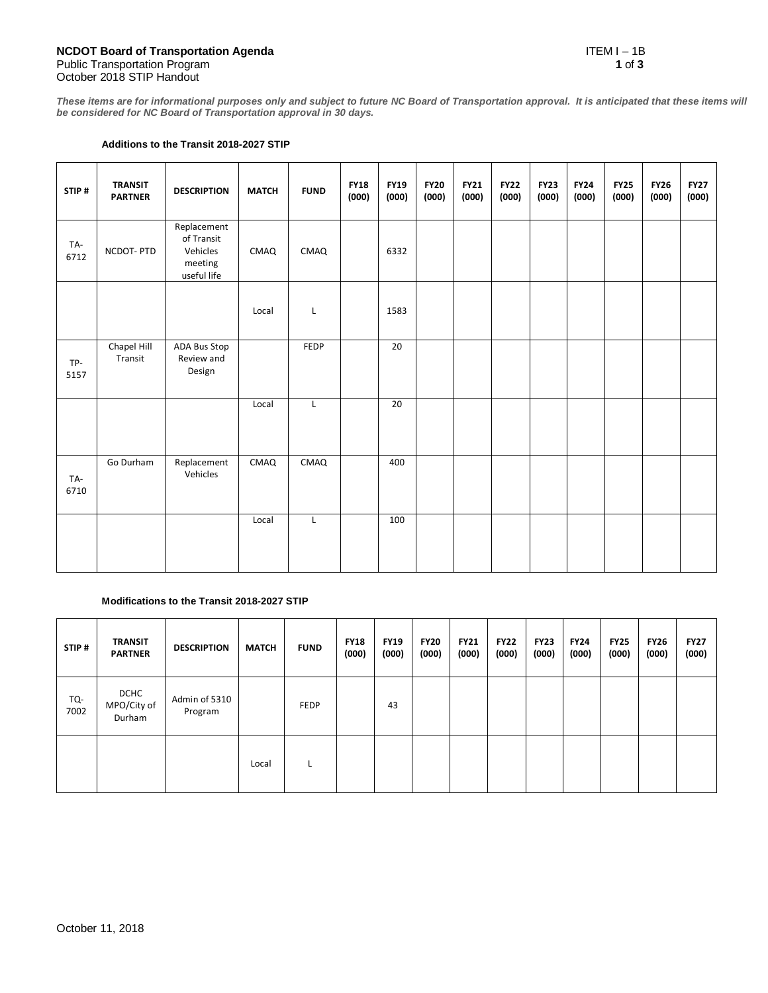**These items are for informational purposes only and subject to future NC Board of Transportation approval. It is anticipated that these items will be considered for NC Board of Transportation approval in 30 days.** 

## **Additions to the Transit 2018-2027 STIP**

| STIP#       | <b>TRANSIT</b><br><b>PARTNER</b> | <b>DESCRIPTION</b>                                              | <b>MATCH</b> | <b>FUND</b> | <b>FY18</b><br>(000) | <b>FY19</b><br>(000) | <b>FY20</b><br>(000) | <b>FY21</b><br>(000) | <b>FY22</b><br>(000) | <b>FY23</b><br>(000) | <b>FY24</b><br>(000) | <b>FY25</b><br>(000) | <b>FY26</b><br>(000) | <b>FY27</b><br>(000) |
|-------------|----------------------------------|-----------------------------------------------------------------|--------------|-------------|----------------------|----------------------|----------------------|----------------------|----------------------|----------------------|----------------------|----------------------|----------------------|----------------------|
| TA-<br>6712 | NCDOT-PTD                        | Replacement<br>of Transit<br>Vehicles<br>meeting<br>useful life | CMAQ         | CMAQ        |                      | 6332                 |                      |                      |                      |                      |                      |                      |                      |                      |
|             |                                  |                                                                 | Local        | L           |                      | 1583                 |                      |                      |                      |                      |                      |                      |                      |                      |
| TP-<br>5157 | Chapel Hill<br>Transit           | ADA Bus Stop<br>Review and<br>Design                            |              | FEDP        |                      | 20                   |                      |                      |                      |                      |                      |                      |                      |                      |
|             |                                  |                                                                 | Local        | L           |                      | 20                   |                      |                      |                      |                      |                      |                      |                      |                      |
| TA-<br>6710 | Go Durham                        | Replacement<br>Vehicles                                         | CMAQ         | CMAQ        |                      | 400                  |                      |                      |                      |                      |                      |                      |                      |                      |
|             |                                  |                                                                 | Local        | L           |                      | 100                  |                      |                      |                      |                      |                      |                      |                      |                      |

## **Modifications to the Transit 2018-2027 STIP**

| STIP#       | <b>TRANSIT</b><br><b>PARTNER</b>     | <b>DESCRIPTION</b>       | <b>MATCH</b> | <b>FUND</b> | <b>FY18</b><br>(000) | <b>FY19</b><br>(000) | <b>FY20</b><br>(000) | <b>FY21</b><br>(000) | <b>FY22</b><br>(000) | <b>FY23</b><br>(000) | <b>FY24</b><br>(000) | <b>FY25</b><br>(000) | <b>FY26</b><br>(000) | <b>FY27</b><br>(000) |
|-------------|--------------------------------------|--------------------------|--------------|-------------|----------------------|----------------------|----------------------|----------------------|----------------------|----------------------|----------------------|----------------------|----------------------|----------------------|
| TQ-<br>7002 | <b>DCHC</b><br>MPO/City of<br>Durham | Admin of 5310<br>Program |              | <b>FEDP</b> |                      | 43                   |                      |                      |                      |                      |                      |                      |                      |                      |
|             |                                      |                          | Local        | L           |                      |                      |                      |                      |                      |                      |                      |                      |                      |                      |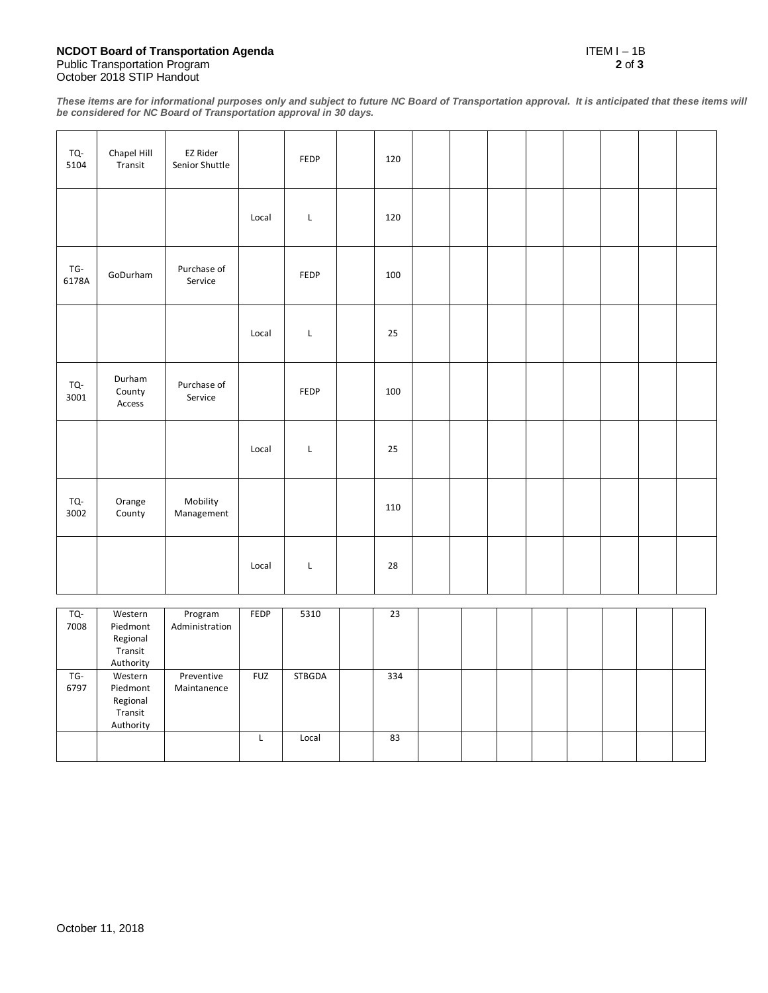## **NCDOT Board of Transportation Agenda** ITEM I – 1B Public Transportation Program **2** of **3** October 2018 STIP Handout

**These items are for informational purposes only and subject to future NC Board of Transportation approval. It is anticipated that these items will be considered for NC Board of Transportation approval in 30 days.** 

| 120<br>Local<br>L<br>TG-<br>Purchase of<br>GoDurham<br>FEDP<br>100<br>6178A<br>Service<br>25<br>Local<br>L |  |  |  |  | 120 | FEDP | EZ Rider<br>Senior Shuttle | Chapel Hill<br>Transit | TQ-<br>5104 |
|------------------------------------------------------------------------------------------------------------|--|--|--|--|-----|------|----------------------------|------------------------|-------------|
|                                                                                                            |  |  |  |  |     |      |                            |                        |             |
|                                                                                                            |  |  |  |  |     |      |                            |                        |             |
|                                                                                                            |  |  |  |  |     |      |                            |                        |             |
| Durham<br>Purchase of<br>TQ-<br>County<br>FEDP<br>100<br>3001<br>Service<br>Access                         |  |  |  |  |     |      |                            |                        |             |
| $\mathsf L$<br>25<br>Local                                                                                 |  |  |  |  |     |      |                            |                        |             |
| Mobility<br>TQ-<br>Orange<br>110<br>3002<br>County<br>Management                                           |  |  |  |  |     |      |                            |                        |             |
| 28<br>Local<br>L                                                                                           |  |  |  |  |     |      |                            |                        |             |
| Western<br>Program<br>5310<br>$\overline{23}$<br>TQ-<br>FEDP                                               |  |  |  |  |     |      |                            |                        |             |

| TQ-  | Western   | Program        | FEDP       | 5310   | 23  |  |  |  |  |
|------|-----------|----------------|------------|--------|-----|--|--|--|--|
| 7008 | Piedmont  | Administration |            |        |     |  |  |  |  |
|      | Regional  |                |            |        |     |  |  |  |  |
|      | Transit   |                |            |        |     |  |  |  |  |
|      | Authority |                |            |        |     |  |  |  |  |
| TG-  | Western   | Preventive     | <b>FUZ</b> | STBGDA | 334 |  |  |  |  |
| 6797 | Piedmont  | Maintanence    |            |        |     |  |  |  |  |
|      | Regional  |                |            |        |     |  |  |  |  |
|      | Transit   |                |            |        |     |  |  |  |  |
|      | Authority |                |            |        |     |  |  |  |  |
|      |           |                | ш.         | Local  | 83  |  |  |  |  |
|      |           |                |            |        |     |  |  |  |  |